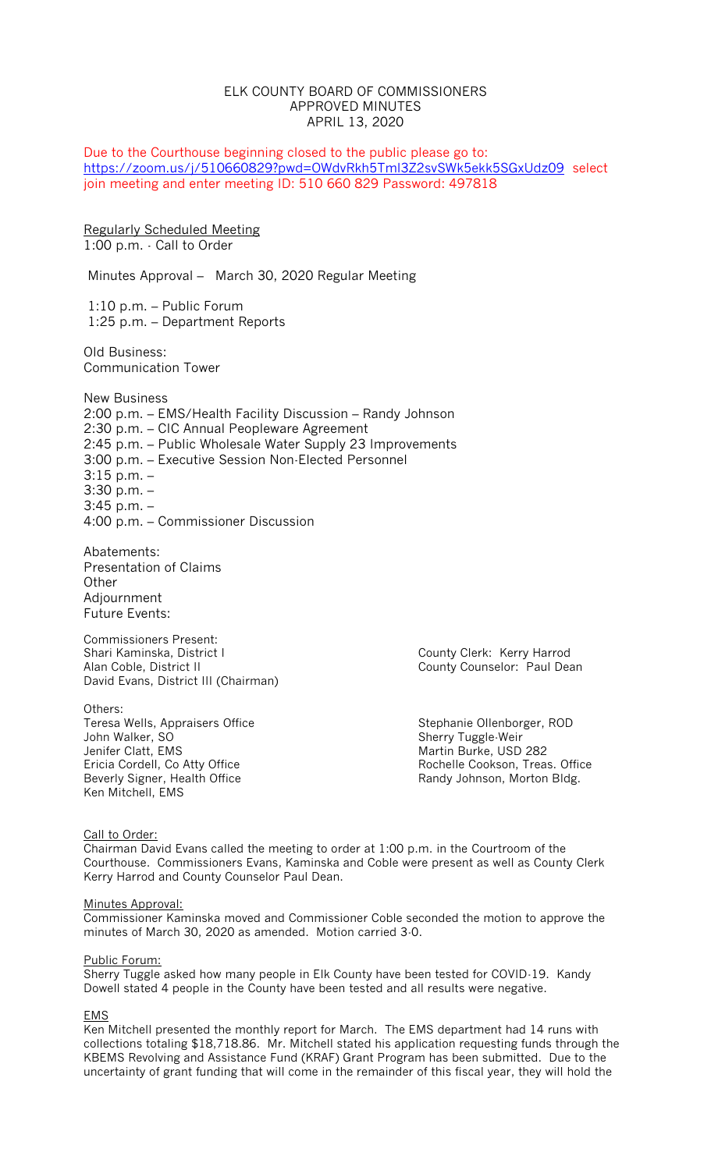## ELK COUNTY BOARD OF COMMISSIONERS APPROVED MINUTES APRIL 13, 2020

Due to the Courthouse beginning closed to the public please go to: <https://zoom.us/j/510660829?pwd=OWdvRkh5Tml3Z2svSWk5ekk5SGxUdz09>select join meeting and enter meeting ID: 510 660 829 Password: 497818

Regularly Scheduled Meeting 1:00 p.m. - Call to Order

Minutes Approval – March 30, 2020 Regular Meeting

1:10 p.m. – Public Forum 1:25 p.m. – Department Reports

Old Business: Communication Tower

New Business 2:00 p.m. – EMS/Health Facility Discussion – Randy Johnson 2:30 p.m. – CIC Annual Peopleware Agreement 2:45 p.m. – Public Wholesale Water Supply 23 Improvements 3:00 p.m. – Executive Session Non-Elected Personnel 3:15 p.m. – 3:30 p.m. – 3:45 p.m. – 4:00 p.m. – Commissioner Discussion

Abatements: Presentation of Claims **Other** Adjournment Future Events:

Commissioners Present:<br>Shari Kaminska, District I Alan Coble, District II County Counselor: Paul Dean David Evans, District III (Chairman)

Others: Teresa Wells, Appraisers Office Stephanie Ollenborger, ROD John Walker, SO Sherry Tuggle-Weir Ken Mitchell, EMS

County Clerk: Kerry Harrod

Martin Burke, USD 282 Ericia Cordell, Co Atty Office<br>
Beverly Signer, Health Office<br>
Randy Johnson, Morton Bldg. Randy Johnson, Morton Bldg.

Call to Order:

Chairman David Evans called the meeting to order at 1:00 p.m. in the Courtroom of the Courthouse. Commissioners Evans, Kaminska and Coble were present as well as County Clerk Kerry Harrod and County Counselor Paul Dean.

#### Minutes Approval:

Commissioner Kaminska moved and Commissioner Coble seconded the motion to approve the minutes of March 30, 2020 as amended. Motion carried 3-0.

#### Public Forum:

Sherry Tuggle asked how many people in Elk County have been tested for COVID-19. Kandy Dowell stated 4 people in the County have been tested and all results were negative.

#### EMS

Ken Mitchell presented the monthly report for March. The EMS department had 14 runs with collections totaling \$18,718.86. Mr. Mitchell stated his application requesting funds through the KBEMS Revolving and Assistance Fund (KRAF) Grant Program has been submitted. Due to the uncertainty of grant funding that will come in the remainder of this fiscal year, they will hold the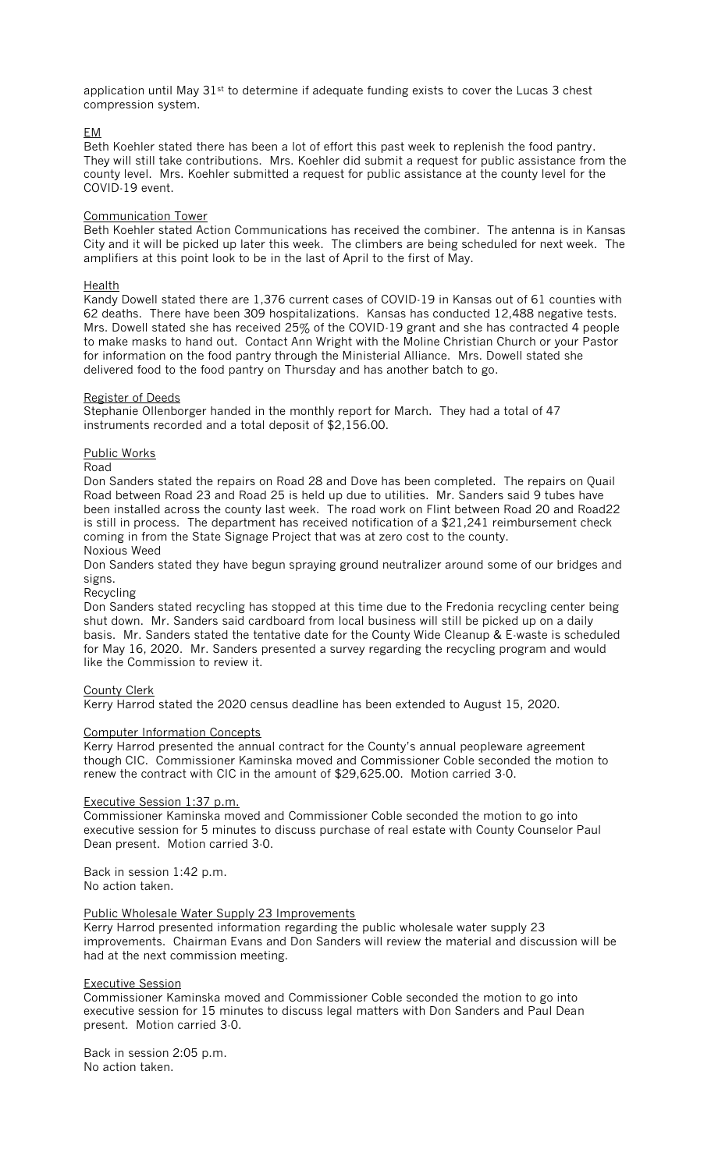application until May  $31<sup>st</sup>$  to determine if adequate funding exists to cover the Lucas 3 chest compression system.

## EM

Beth Koehler stated there has been a lot of effort this past week to replenish the food pantry. They will still take contributions. Mrs. Koehler did submit a request for public assistance from the county level. Mrs. Koehler submitted a request for public assistance at the county level for the COVID-19 event.

## Communication Tower

Beth Koehler stated Action Communications has received the combiner. The antenna is in Kansas City and it will be picked up later this week. The climbers are being scheduled for next week. The amplifiers at this point look to be in the last of April to the first of May.

## Health

Kandy Dowell stated there are 1,376 current cases of COVID-19 in Kansas out of 61 counties with 62 deaths. There have been 309 hospitalizations. Kansas has conducted 12,488 negative tests. Mrs. Dowell stated she has received 25% of the COVID-19 grant and she has contracted 4 people to make masks to hand out. Contact Ann Wright with the Moline Christian Church or your Pastor for information on the food pantry through the Ministerial Alliance. Mrs. Dowell stated she delivered food to the food pantry on Thursday and has another batch to go.

## Register of Deeds

Stephanie Ollenborger handed in the monthly report for March. They had a total of 47 instruments recorded and a total deposit of \$2,156.00.

## Public Works

#### Road

Don Sanders stated the repairs on Road 28 and Dove has been completed. The repairs on Quail Road between Road 23 and Road 25 is held up due to utilities. Mr. Sanders said 9 tubes have been installed across the county last week. The road work on Flint between Road 20 and Road22 is still in process. The department has received notification of a \$21,241 reimbursement check coming in from the State Signage Project that was at zero cost to the county.

# Noxious Weed

Don Sanders stated they have begun spraying ground neutralizer around some of our bridges and signs.

#### Recycling

Don Sanders stated recycling has stopped at this time due to the Fredonia recycling center being shut down. Mr. Sanders said cardboard from local business will still be picked up on a daily basis. Mr. Sanders stated the tentative date for the County Wide Cleanup & E-waste is scheduled for May 16, 2020. Mr. Sanders presented a survey regarding the recycling program and would like the Commission to review it.

#### County Clerk

Kerry Harrod stated the 2020 census deadline has been extended to August 15, 2020.

## Computer Information Concepts

Kerry Harrod presented the annual contract for the County's annual peopleware agreement though CIC. Commissioner Kaminska moved and Commissioner Coble seconded the motion to renew the contract with CIC in the amount of \$29,625.00. Motion carried 3-0.

#### Executive Session 1:37 p.m.

Commissioner Kaminska moved and Commissioner Coble seconded the motion to go into executive session for 5 minutes to discuss purchase of real estate with County Counselor Paul Dean present. Motion carried 3-0.

#### Back in session 1:42 p.m. No action taken.

#### Public Wholesale Water Supply 23 Improvements

Kerry Harrod presented information regarding the public wholesale water supply 23 improvements. Chairman Evans and Don Sanders will review the material and discussion will be had at the next commission meeting.

#### Executive Session

Commissioner Kaminska moved and Commissioner Coble seconded the motion to go into executive session for 15 minutes to discuss legal matters with Don Sanders and Paul Dean present. Motion carried 3-0.

Back in session 2:05 p.m. No action taken.